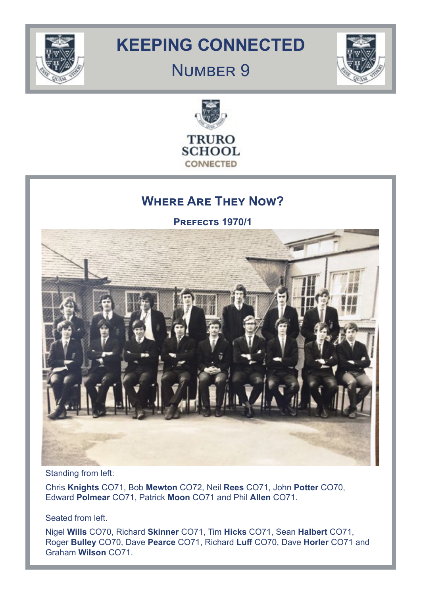

# **KEEPING CONNECTED**

# NUMBER 9





# **Where Are They Now?**

**Prefects 1970/1**



Standing from left:

Chris **Knights** CO71, Bob **Mewton** CO72, Neil **Rees** CO71, John **Potter** CO70, Edward **Polmear** CO71, Patrick **Moon** CO71 and Phil **Allen** CO71.

Seated from left.

Nigel **Wills** CO70, Richard **Skinner** CO71, Tim **Hicks** CO71, Sean **Halbert** CO71, Roger **Bulley** CO70, Dave **Pearce** CO71, Richard **Luff** CO70, Dave **Horler** CO71 and Graham **Wilson** CO71.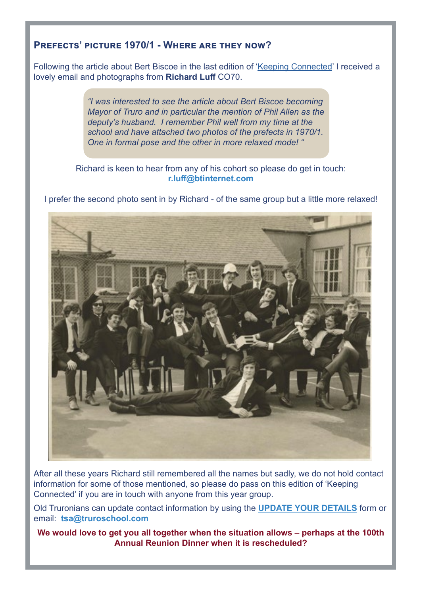# **Prefects' picture 1970/1 - Where are they now?**

Following the article about Bert Biscoe in the last edition of '[Keeping Connected'](https://www.truroschool.com/alumni/keeping-connected/) I received a lovely email and photographs from **Richard Luff** CO70.

> *"I was interested to see the article about Bert Biscoe becoming Mayor of Truro and in particular the mention of Phil Allen as the deputy's husband. I remember Phil well from my time at the school and have attached two photos of the prefects in 1970/1. One in formal pose and the other in more relaxed mode! "*

### Richard is keen to hear from any of his cohort so please do get in touch: **r.luff@btinternet.com**

I prefer the second photo sent in by Richard - of the same group but a little more relaxed!



After all these years Richard still remembered all the names but sadly, we do not hold contact information for some of those mentioned, so please do pass on this edition of 'Keeping Connected' if you are in touch with anyone from this year group.

Old Truronians can update contact information by using the **[UPDATE YOUR DETAILS](https://www.truroschool.com/alumni/alumni-update-your-details/)** form or email: **tsa@truroschool.com**

**We would love to get you all together when the situation allows – perhaps at the 100th Annual Reunion Dinner when it is rescheduled?**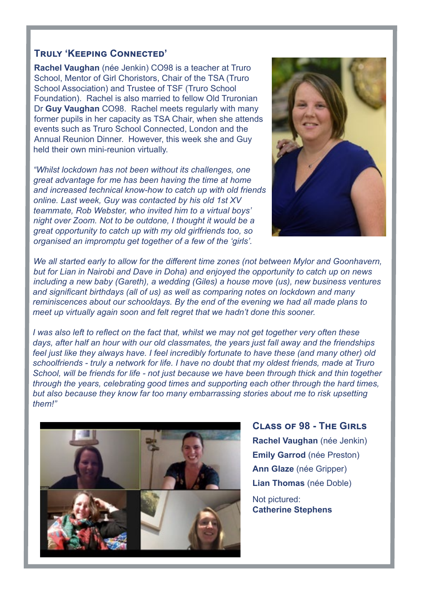### **Truly 'Keeping Connected'**

**Rachel Vaughan** (née Jenkin) CO98 is a teacher at Truro School, Mentor of Girl Choristors, Chair of the TSA (Truro School Association) and Trustee of TSF (Truro School Foundation). Rachel is also married to fellow Old Truronian Dr **Guy Vaughan** CO98. Rachel meets regularly with many former pupils in her capacity as TSA Chair, when she attends events such as Truro School Connected, London and the Annual Reunion Dinner. However, this week she and Guy held their own mini-reunion virtually.

*"Whilst lockdown has not been without its challenges, one great advantage for me has been having the time at home and increased technical know-how to catch up with old friends online. Last week, Guy was contacted by his old 1st XV teammate, Rob Webster, who invited him to a virtual boys' night over Zoom. Not to be outdone, I thought it would be a great opportunity to catch up with my old girlfriends too, so organised an impromptu get together of a few of the 'girls'.*



*We all started early to allow for the different time zones (not between Mylor and Goonhavern, but for Lian in Nairobi and Dave in Doha) and enjoyed the opportunity to catch up on news including a new baby (Gareth), a wedding (Giles) a house move (us), new business ventures and significant birthdays (all of us) as well as comparing notes on lockdown and many reminiscences about our schooldays. By the end of the evening we had all made plans to meet up virtually again soon and felt regret that we hadn't done this sooner.* 

*I was also left to reflect on the fact that, whilst we may not get together very often these days, after half an hour with our old classmates, the years just fall away and the friendships feel just like they always have. I feel incredibly fortunate to have these (and many other) old schoolfriends - truly a network for life. I have no doubt that my oldest friends, made at Truro School, will be friends for life - not just because we have been through thick and thin together through the years, celebrating good times and supporting each other through the hard times, but also because they know far too many embarrassing stories about me to risk upsetting them!"*



**Class of 98 - The Girls Rachel Vaughan** (née Jenkin) **Emily Garrod** (née Preston) **Ann Glaze** (née Gripper) **Lian Thomas** (née Doble) Not pictured:

**Catherine Stephens**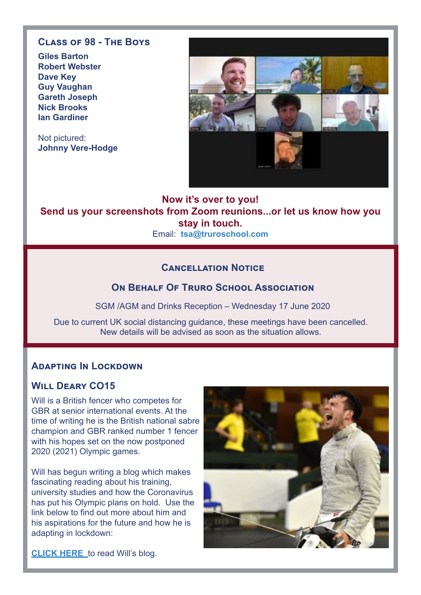## **Class of 98 - The Boys**

**Giles Barton Robert Webster Dave Key Guy Vaughan Gareth Joseph Nick Brooks Ian Gardiner**

Not pictured: **Johnny Vere-Hodge**



### **Now it's over to you! Send us your screenshots from Zoom reunions...or let us know how you stay in touch.** Email: **tsa@truroschool.com**

## **Cancellation Notice**

### **ON BEHALF OF TRURO SCHOOL ASSOCIATION**

SGM /AGM and Drinks Reception – Wednesday 17 June 2020

Due to current UK social distancing guidance, these meetings have been cancelled. New details will be advised as soon as the situation allows.

### **ADAPTING IN LOCKDOWN**

## **Will Deary CO15**

Will is a British fencer who competes for GBR at senior international events. At the time of writing he is the British national sabre champion and GBR ranked number 1 fencer with his hopes set on the now postponed 2020 (2021) Olympic games.

Will has begun writing a blog which makes fascinating reading about his training, university studies and how the Coronavirus has put his Olympic plans on hold. Use the link below to find out more about him and his aspirations for the future and how he is adapting in lockdown:



**[CLICK HERE](https://willdeary.github.io/2020/05/23/introduction.html)** to read Will's blog.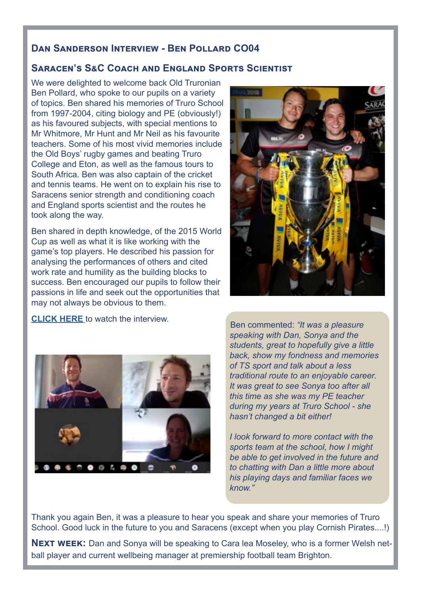### **Dan Sanderson Interview - Ben Pollard CO04**

## **Saracen's S&C Coach and England Sports Scientist**

We were delighted to welcome back Old Truronian Ben Pollard, who spoke to our pupils on a variety of topics. Ben shared his memories of Truro School from 1997-2004, citing biology and PE (obviously!) as his favoured subjects, with special mentions to Mr Whitmore, Mr Hunt and Mr Neil as his favourite teachers. Some of his most vivid memories include the Old Boys' rugby games and beating Truro College and Eton, as well as the famous tours to South Africa. Ben was also captain of the cricket and tennis teams. He went on to explain his rise to Saracens senior strength and conditioning coach and England sports scientist and the routes he took along the way.

Ben shared in depth knowledge, of the 2015 World Cup as well as what it is like working with the game's top players. He described his passion for analysing the performances of others and cited work rate and humility as the building blocks to success. Ben encouraged our pupils to follow their passions in life and seek out the opportunities that may not always be obvious to them.



**[CLICK HERE](https://truroschool-my.sharepoint.com/personal/djs_truroschool_com/_layouts/15/onedrive.aspx?id=%2Fpersonal%2Fdjs%5Ftruroschool%5Fcom%2FDocuments%2FSports%20interview&originalPath=aHR0cHM6Ly90cnVyb3NjaG9vbC1teS5zaGFyZXBvaW50LmNvbS86ZjovcC9kanMvRWxReXJ3T0U0OUJGaWE0b3o4NU1FNjhCajg1OW9RRldwbWFzTUpUbVRINE1MUT9ydGltZT0yXzFveFpJSTJFZw)** to watch the interview.



Ben commented: *"It was a pleasure speaking with Dan, Sonya and the students, great to hopefully give a little back, show my fondness and memories of TS sport and talk about a less traditional route to an enjoyable career. It was great to see Sonya too after all this time as she was my PE teacher during my years at Truro School - she hasn't changed a bit either!*

*I look forward to more contact with the sports team at the school, how I might be able to get involved in the future and to chatting with Dan a little more about his playing days and familiar faces we know."*

Thank you again Ben, it was a pleasure to hear you speak and share your memories of Truro School. Good luck in the future to you and Saracens (except when you play Cornish Pirates....!)

**NEXT WEEK:** Dan and Sonya will be speaking to Cara lea Moseley, who is a former Welsh netball player and current wellbeing manager at premiership football team Brighton.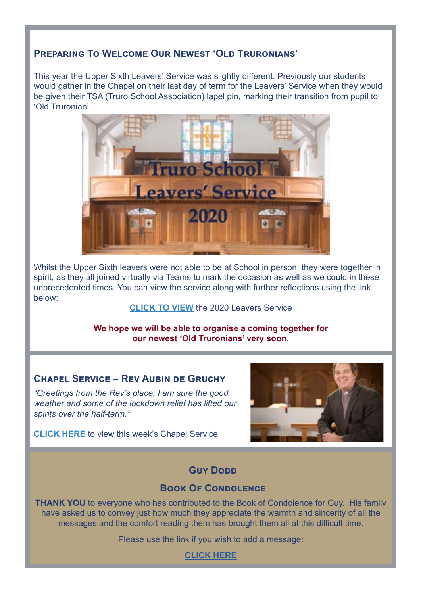# **PREPARING TO WELCOME OUR NEWEST 'OLD TRURONIANS'**

This year the Upper Sixth Leavers' Service was slightly different. Previously our students would gather in the Chapel on their last day of term for the Leavers' Service when they would be given their TSA (Truro School Association) lapel pin, marking their transition from pupil to 'Old Truronian'.



Whilst the Upper Sixth leavers were not able to be at School in person, they were together in spirit, as they all joined virtually via Teams to mark the occasion as well as we could in these unprecedented times. You can view the service along with further reflections using the link below:

### **[CLICK TO VIEW](https://www.truroschool.com/latest-news/leavers-service-2020/?fbclid=IwAR00XTSwb-j_zyJjOJAho84ZUxSk1w0G880T_U1zkkcyfc3Nz2idK1Q51Mc)** the 2020 Leavers Service

**We hope we will be able to organise a coming together for our newest 'Old Truronians' very soon.**

## **CHAPEL SERVICE – REV AUBIN DE GRUCHY**

*"Greetings from the Rev's place. I am sure the good weather and some of the lockdown relief has lifted our spirits over the half-term."*



**[CLICK HERE](https://www.youtube.com/watch?v=waOOL4D8JN4)** to view this week's Chapel Service

# **Guy Donn**

## **Book Of Condolence**

**THANK YOU** to everyone who has contributed to the Book of Condolence for Guy. His family have asked us to convey just how much they appreciate the warmth and sincerity of all the messages and the comfort reading them has brought them all at this difficult time.

Please use the link if you wish to add a message:

**[CLICK HERE](https://www.truroschool.com/alumni/guy-dodd/)**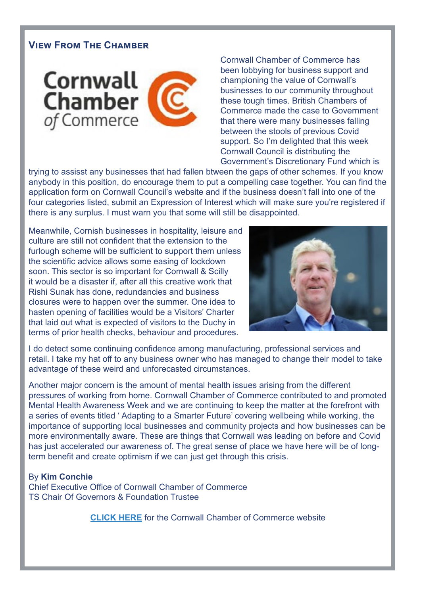# **View From The Chamber**



Cornwall Chamber of Commerce has been lobbying for business support and championing the value of Cornwall's businesses to our community throughout these tough times. British Chambers of Commerce made the case to Government that there were many businesses falling between the stools of previous Covid support. So I'm delighted that this week Cornwall Council is distributing the Government's Discretionary Fund which is

trying to assisst any businesses that had fallen btween the gaps of other schemes. If you know anybody in this position, do encourage them to put a compelling case together. You can find the application form on Cornwall Council's website and if the business doesn't fall into one of the four categories listed, submit an Expression of Interest which will make sure you're registered if there is any surplus. I must warn you that some will still be disappointed.

Meanwhile, Cornish businesses in hospitality, leisure and culture are still not confident that the extension to the furlough scheme will be sufficient to support them unless the scientific advice allows some easing of lockdown soon. This sector is so important for Cornwall & Scilly it would be a disaster if, after all this creative work that Rishi Sunak has done, redundancies and business closures were to happen over the summer. One idea to hasten opening of facilities would be a Visitors' Charter that laid out what is expected of visitors to the Duchy in terms of prior health checks, behaviour and procedures.



I do detect some continuing confidence among manufacturing, professional services and retail. I take my hat off to any business owner who has managed to change their model to take advantage of these weird and unforecasted circumstances.

Another major concern is the amount of mental health issues arising from the different pressures of working from home. Cornwall Chamber of Commerce contributed to and promoted Mental Health Awareness Week and we are continuing to keep the matter at the forefront with a series of events titled ' Adapting to a Smarter Future' covering wellbeing while working, the importance of supporting local businesses and community projects and how businesses can be more environmentally aware. These are things that Cornwall was leading on before and Covid has just accelerated our awareness of. The great sense of place we have here will be of longterm benefit and create optimism if we can just get through this crisis.

By **Kim Conchie** Chief Executive Office of Cornwall Chamber of Commerce TS Chair Of Governors & Foundation Trustee

**[CLICK HERE](https://www.cornwallchamber.co.uk/)** for the Cornwall Chamber of Commerce website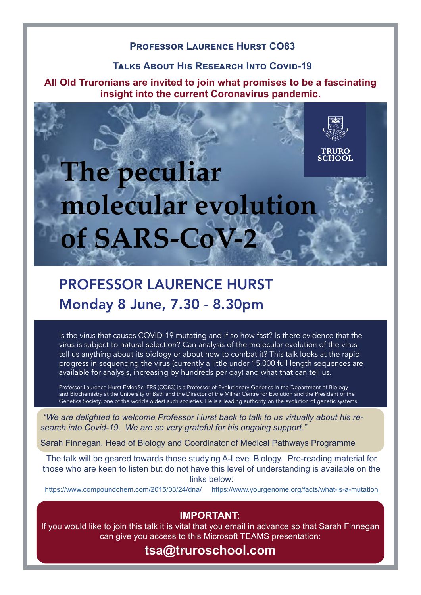### **Professor Laurence Hurst CO83**

### **Talks About His Research Into Covid-19**

**All Old Truronians are invited to join what promises to be a fascinating insight into the current Coronavirus pandemic.**

# **TRURO SCHOOL The peculiar molecular evolution of SARS-CoV-2**

# PROFESSOR LAURENCE HURST Monday 8 June, 7.30 - 8.30pm

Is the virus that causes COVID-19 mutating and if so how fast? Is there evidence that the virus is subject to natural selection? Can analysis of the molecular evolution of the virus tell us anything about its biology or about how to combat it? This talk looks at the rapid progress in sequencing the virus (currently a little under 15,000 full length sequences are available for analysis, increasing by hundreds per day) and what that can tell us.

Professor Laurence Hurst FMedSci FRS (CO83) is a Professor of Evolutionary Genetics in the Department of Biology and Biochemistry at the University of Bath and the Director of the Milner Centre for Evolution and the President of the Genetics Society, one of the world's oldest such societies. He is a leading authority on the evolution of genetic systems.

*"We are delighted to welcome Professor Hurst back to talk to us virtually about his research into Covid-19. We are so "We are delighted to welcome Professor Hurst back to talk to us virtually about his research into Covid-19. We are so very grateful for his ongoing support."* 

Sarah Finnegan, Head of Biology and Coordinator of Medical Pathways Programme https://www.compoundchem.com/2015/03/24/dna/ https://www.yourgenome.org/facts/what-is-a-mutation

those who are keen to listen but do not have this level of understanding is available on the The talk will be geared towards those studying A-Level Biology. Pre-reading material for links below:

The talk will be geared towards those studying  $\mathcal{L}_{\mathcal{A}}$  for those who are keen to listen but are keen to listen but are keen to listen but are keen to listen but are keen to listen but are keen to listen but are kee

<https://www.compoundchem.com/2015/03/24/dna/>[https://www.yourgenome.org/facts/what-is-a-mutation](https://www.yourgenome.org/facts/what-is-a-mutation ) 

## **IMPORTANT:**

If you would like to join this talk it is vital that you email in advance so that Sarah Finnegan can give you access to this Microsoft TEAMS presentation:

# **tsa@truroschool.com**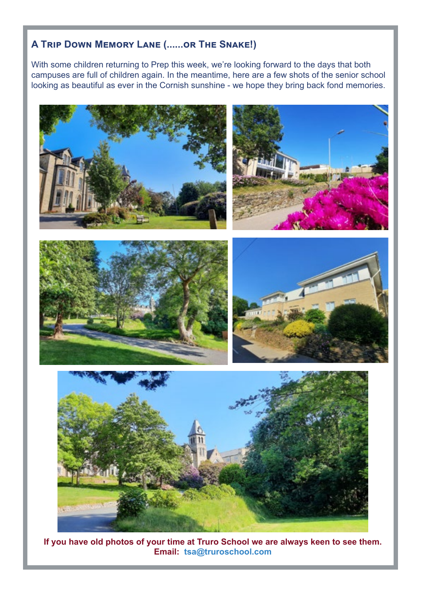# **A Trip Down Memory Lane (......or The Snake!)**

With some children returning to Prep this week, we're looking forward to the days that both campuses are full of children again. In the meantime, here are a few shots of the senior school looking as beautiful as ever in the Cornish sunshine - we hope they bring back fond memories.



**If you have old photos of your time at Truro School we are always keen to see them. Email: tsa@truroschool.com**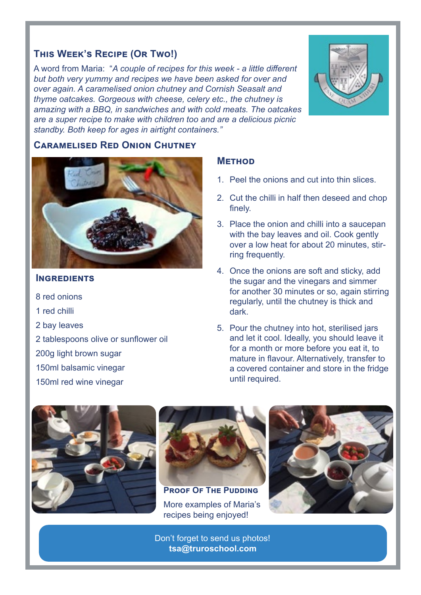# **This Week's Recipe (Or Two!)**

A word from Maria: "*A couple of recipes for this week - a little different but both very yummy and recipes we have been asked for over and over again. A caramelised onion chutney and Cornish Seasalt and thyme oatcakes. Gorgeous with cheese, celery etc., the chutney is amazing with a BBQ, in sandwiches and with cold meats. The oatcakes are a super recipe to make with children too and are a delicious picnic standby. Both keep for ages in airtight containers."* 



### **Caramelised Red Onion Chutney**



### **INGREDIENTS**

- 8 red onions 1 red chilli
- 2 bay leaves
- 2 tablespoons olive or sunflower oil
- 200g light brown sugar
- 150ml balsamic vinegar
- 150ml red wine vinegar

### **Method**

- 1. Peel the onions and cut into thin slices.
- 2. Cut the chilli in half then deseed and chop finely.
- 3. Place the onion and chilli into a saucepan with the bay leaves and oil. Cook gently over a low heat for about 20 minutes, stirring frequently.
- 4. Once the onions are soft and sticky, add the sugar and the vinegars and simmer for another 30 minutes or so, again stirring regularly, until the chutney is thick and dark.
- 5. Pour the chutney into hot, sterilised jars and let it cool. Ideally, you should leave it for a month or more before you eat it, to mature in flavour. Alternatively, transfer to a covered container and store in the fridge until required.





**PROOF OF THE PUDDING** More examples of Maria's recipes being enjoyed!



Don't forget to send us photos! **tsa@truroschool.com**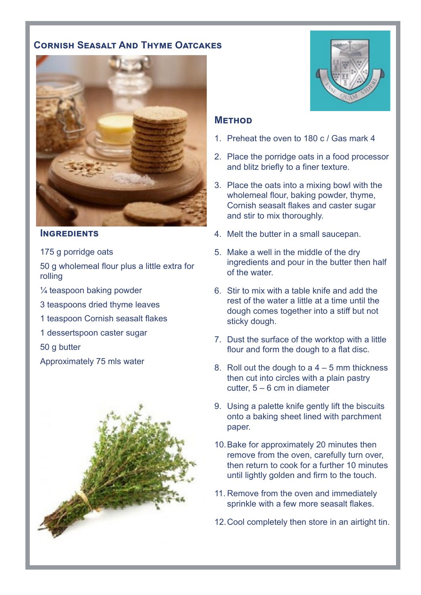# **Cornish Seasalt And Thyme Oatcakes**



#### **INGREDIENTS**

175 g porridge oats

50 g wholemeal flour plus a little extra for rolling

- ¼ teaspoon baking powder
- 3 teaspoons dried thyme leaves
- 1 teaspoon Cornish seasalt flakes
- 1 dessertspoon caster sugar

50 g butter

Approximately 75 mls water





### **Method**

- 1. Preheat the oven to 180 c / Gas mark 4
- 2. Place the porridge oats in a food processor and blitz briefly to a finer texture.
- 3. Place the oats into a mixing bowl with the wholemeal flour, baking powder, thyme, Cornish seasalt flakes and caster sugar and stir to mix thoroughly.
- 4. Melt the butter in a small saucepan.
- 5. Make a well in the middle of the dry ingredients and pour in the butter then half of the water.
- 6. Stir to mix with a table knife and add the rest of the water a little at a time until the dough comes together into a stiff but not sticky dough.
- 7. Dust the surface of the worktop with a little flour and form the dough to a flat disc.
- 8. Roll out the dough to  $a$  4 5 mm thickness then cut into circles with a plain pastry cutter, 5 – 6 cm in diameter
- 9. Using a palette knife gently lift the biscuits onto a baking sheet lined with parchment paper.
- 10.Bake for approximately 20 minutes then remove from the oven, carefully turn over, then return to cook for a further 10 minutes until lightly golden and firm to the touch.
- 11. Remove from the oven and immediately sprinkle with a few more seasalt flakes.
- 12.Cool completely then store in an airtight tin.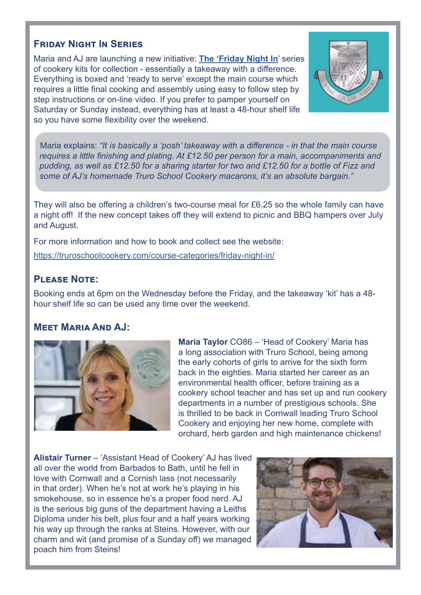# **Friday Night In Series**

Maria and AJ are launching a new initiative: **[The 'Friday Night In](https://truroschoolcookery.com/cookery-courses-cornwall/)**' series of cookery kits for collection - essentially a takeaway with a difference. Everything is boxed and 'ready to serve' except the main course which requires a little final cooking and assembly using easy to follow step by step instructions or on-line video. If you prefer to pamper yourself on Saturday or Sunday instead, everything has at least a 48-hour shelf life so you have some flexibility over the weekend.



Maria explains: *"It is basically a 'posh' takeaway with a difference - in that the main course requires a little finishing and plating. At £12.50 per person for a main, accompaniments and pudding, as well as £12.50 for a sharing starter for two and £12.50 for a bottle of Fizz and some of AJ's homemade Truro School Cookery macarons, it's an absolute bargain."*

They will also be offering a children's two-course meal for £6.25 so the whole family can have a night off! If the new concept takes off they will extend to picnic and BBQ hampers over July and August.

For more information and how to book and collect see the website:

<https://truroschoolcookery.com/course-categories/friday-night-in/>

# **Please Note:**

Booking ends at 6pm on the Wednesday before the Friday, and the takeaway 'kit' has a 48 hour shelf life so can be used any time over the weekend.

### **Meet Maria And AJ:**



**Maria Taylor** CO86 – 'Head of Cookery' Maria has a long association with Truro School, being among the early cohorts of girls to arrive for the sixth form back in the eighties. Maria started her career as an environmental health officer, before training as a cookery school teacher and has set up and run cookery departments in a number of prestigious schools. She is thrilled to be back in Cornwall leading Truro School Cookery and enjoying her new home, complete with orchard, herb garden and high maintenance chickens!

**Alistair Turner** – 'Assistant Head of Cookery' AJ has lived all over the world from Barbados to Bath, until he fell in love with Cornwall and a Cornish lass (not necessarily in that order). When he's not at work he's playing in his smokehouse, so in essence he's a proper food nerd. AJ is the serious big guns of the department having a Leiths Diploma under his belt, plus four and a half years working his way up through the ranks at Steins. However, with our charm and wit (and promise of a Sunday off) we managed poach him from Steins!